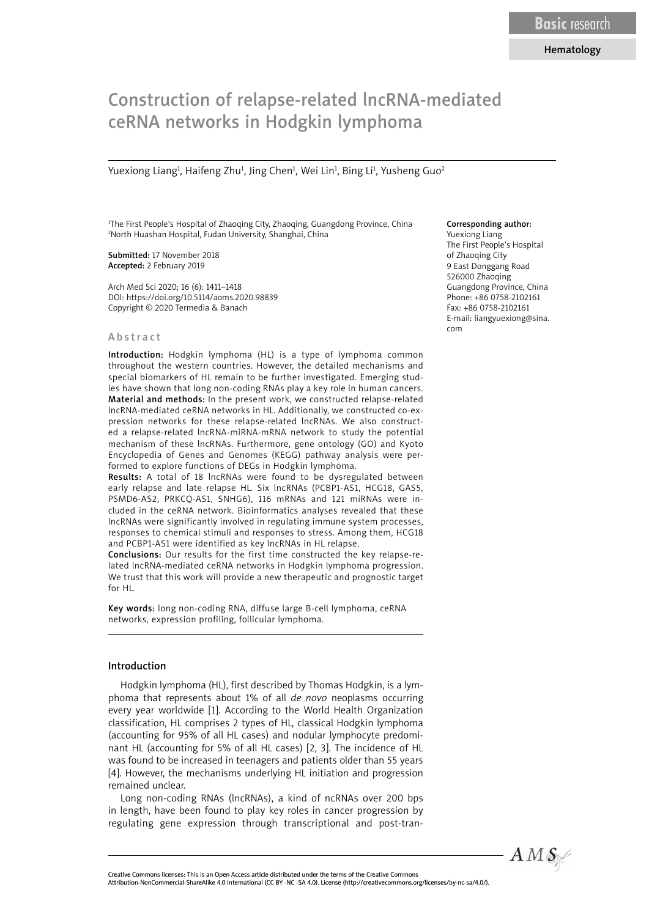# Construction of relapse-related lncRNA-mediated ceRNA networks in Hodgkin lymphoma

Yuexiong Liang<sup>1</sup>, Haifeng Zhu<sup>1</sup>, Jing Chen<sup>1</sup>, Wei Lin<sup>1</sup>, Bing Li<sup>1</sup>, Yusheng Guo<sup>2</sup>

1 The First People's Hospital of Zhaoqing City, Zhaoqing, Guangdong Province, China 2 North Huashan Hospital, Fudan University, Shanghai, China

Submitted: 17 November 2018 Accepted: 2 February 2019

Arch Med Sci 2020; 16 (6): 1411–1418 DOI: https://doi.org/10.5114/aoms.2020.98839 Copyright © 2020 Termedia & Banach

#### Abstract

Introduction: Hodgkin lymphoma (HL) is a type of lymphoma common throughout the western countries. However, the detailed mechanisms and special biomarkers of HL remain to be further investigated. Emerging studies have shown that long non-coding RNAs play a key role in human cancers. Material and methods: In the present work, we constructed relapse-related lncRNA-mediated ceRNA networks in HL. Additionally, we constructed co-expression networks for these relapse-related lncRNAs. We also constructed a relapse-related lncRNA-miRNA-mRNA network to study the potential mechanism of these lncRNAs. Furthermore, gene ontology (GO) and Kyoto Encyclopedia of Genes and Genomes (KEGG) pathway analysis were performed to explore functions of DEGs in Hodgkin lymphoma.

Results: A total of 18 lncRNAs were found to be dysregulated between early relapse and late relapse HL. Six lncRNAs (PCBP1-AS1, HCG18, GAS5, PSMD6-AS2, PRKCQ-AS1, SNHG6), 116 mRNAs and 121 miRNAs were included in the ceRNA network. Bioinformatics analyses revealed that these lncRNAs were significantly involved in regulating immune system processes, responses to chemical stimuli and responses to stress. Among them, HCG18 and PCBP1-AS1 were identified as key lncRNAs in HL relapse.

Conclusions: Our results for the first time constructed the key relapse-related lncRNA-mediated ceRNA networks in Hodgkin lymphoma progression. We trust that this work will provide a new therapeutic and prognostic target for HL.

Key words: long non-coding RNA, diffuse large B-cell lymphoma, ceRNA networks, expression profiling, follicular lymphoma.

## Introduction

Hodgkin lymphoma (HL), first described by Thomas Hodgkin, is a lymphoma that represents about 1% of all *de novo* neoplasms occurring every year worldwide [1]. According to the World Health Organization classification, HL comprises 2 types of HL, classical Hodgkin lymphoma (accounting for 95% of all HL cases) and nodular lymphocyte predominant HL (accounting for 5% of all HL cases) [2, 3]. The incidence of HL was found to be increased in teenagers and patients older than 55 years [4]. However, the mechanisms underlying HL initiation and progression remained unclear.

Long non-coding RNAs (lncRNAs), a kind of ncRNAs over 200 bps in length, have been found to play key roles in cancer progression by regulating gene expression through transcriptional and post-tran-

## Corresponding author:

Yuexiong Liang The First People's Hospital of Zhaoqing City 9 East Donggang Road 526000 Zhaoqing Guangdong Province, China Phone: +86 0758-2102161 Fax: +86 0758-2102161 E-mail: liangyuexiong@sina. com

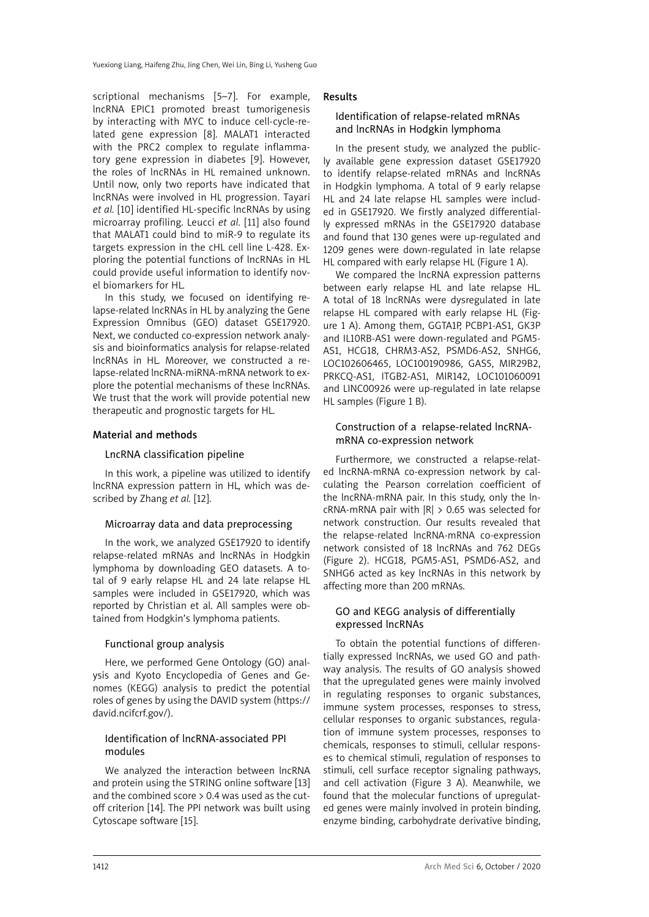scriptional mechanisms [5–7]. For example, lncRNA EPIC1 promoted breast tumorigenesis by interacting with MYC to induce cell-cycle-related gene expression [8]. MALAT1 interacted with the PRC2 complex to regulate inflammatory gene expression in diabetes [9]. However, the roles of lncRNAs in HL remained unknown. Until now, only two reports have indicated that lncRNAs were involved in HL progression. Tayari *et al.* [10] identified HL-specific lncRNAs by using microarray profiling. Leucci *et al.* [11] also found that MALAT1 could bind to miR-9 to regulate its targets expression in the cHL cell line L-428. Exploring the potential functions of lncRNAs in HL could provide useful information to identify novel biomarkers for HL.

In this study, we focused on identifying relapse-related lncRNAs in HL by analyzing the Gene Expression Omnibus (GEO) dataset GSE17920. Next, we conducted co-expression network analysis and bioinformatics analysis for relapse-related lncRNAs in HL. Moreover, we constructed a relapse-related lncRNA-miRNA-mRNA network to explore the potential mechanisms of these lncRNAs. We trust that the work will provide potential new therapeutic and prognostic targets for HL.

## Material and methods

## LncRNA classification pipeline

In this work, a pipeline was utilized to identify lncRNA expression pattern in HL, which was described by Zhang *et al.* [12].

## Microarray data and data preprocessing

In the work, we analyzed GSE17920 to identify relapse-related mRNAs and lncRNAs in Hodgkin lymphoma by downloading GEO datasets. A total of 9 early relapse HL and 24 late relapse HL samples were included in GSE17920, which was reported by Christian et al. All samples were obtained from Hodgkin's lymphoma patients.

## Functional group analysis

Here, we performed Gene Ontology (GO) analysis and Kyoto Encyclopedia of Genes and Genomes (KEGG) analysis to predict the potential roles of genes by using the DAVID system (https:// david.ncifcrf.gov/).

# Identification of lncRNA-associated PPI modules

We analyzed the interaction between lncRNA and protein using the STRING online software [13] and the combined score  $> 0.4$  was used as the cutoff criterion [14]. The PPI network was built using Cytoscape software [15].

## Results

## Identification of relapse-related mRNAs and lncRNAs in Hodgkin lymphoma

In the present study, we analyzed the publicly available gene expression dataset GSE17920 to identify relapse-related mRNAs and lncRNAs in Hodgkin lymphoma. A total of 9 early relapse HL and 24 late relapse HL samples were included in GSE17920. We firstly analyzed differentially expressed mRNAs in the GSE17920 database and found that 130 genes were up-regulated and 1209 genes were down-regulated in late relapse HL compared with early relapse HL (Figure 1 A).

We compared the lncRNA expression patterns between early relapse HL and late relapse HL. A total of 18 lncRNAs were dysregulated in late relapse HL compared with early relapse HL (Figure 1 A). Among them, GGTA1P, PCBP1-AS1, GK3P and IL10RB-AS1 were down-regulated and PGM5- AS1, HCG18, CHRM3-AS2, PSMD6-AS2, SNHG6, LOC102606465, LOC100190986, GAS5, MIR29B2, PRKCQ-AS1, ITGB2-AS1, MIR142, LOC101060091 and LINC00926 were up-regulated in late relapse HL samples (Figure 1 B).

## Construction of a relapse-related lncRNAmRNA co-expression network

Furthermore, we constructed a relapse-related lncRNA-mRNA co-expression network by calculating the Pearson correlation coefficient of the lncRNA-mRNA pair. In this study, only the lncRNA-mRNA pair with |R| > 0.65 was selected for network construction. Our results revealed that the relapse-related lncRNA-mRNA co-expression network consisted of 18 lncRNAs and 762 DEGs (Figure 2). HCG18, PGM5-AS1, PSMD6-AS2, and SNHG6 acted as key lncRNAs in this network by affecting more than 200 mRNAs.

# GO and KEGG analysis of differentially expressed lncRNAs

To obtain the potential functions of differentially expressed lncRNAs, we used GO and pathway analysis. The results of GO analysis showed that the upregulated genes were mainly involved in regulating responses to organic substances, immune system processes, responses to stress, cellular responses to organic substances, regulation of immune system processes, responses to chemicals, responses to stimuli, cellular responses to chemical stimuli, regulation of responses to stimuli, cell surface receptor signaling pathways, and cell activation (Figure 3 A). Meanwhile, we found that the molecular functions of upregulated genes were mainly involved in protein binding, enzyme binding, carbohydrate derivative binding,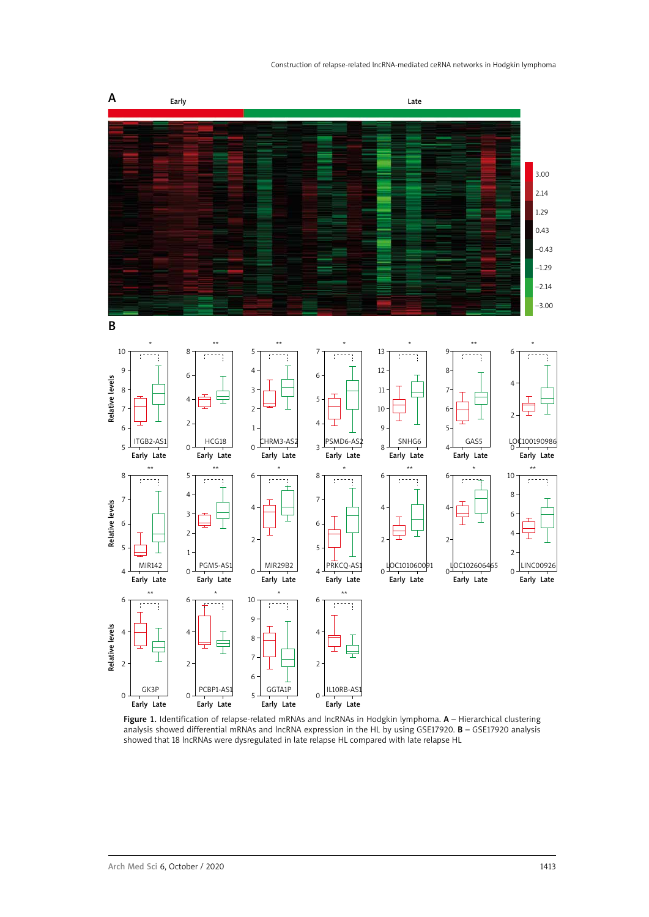#### Construction of relapse-related lncRNA-mediated ceRNA networks in Hodgkin lymphoma



Figure 1. Identification of relapse-related mRNAs and lncRNAs in Hodgkin lymphoma. A - Hierarchical clustering analysis showed differential mRNAs and lncRNA expression in the HL by using GSE17920. B – GSE17920 analysis showed that 18 lncRNAs were dysregulated in late relapse HL compared with late relapse HL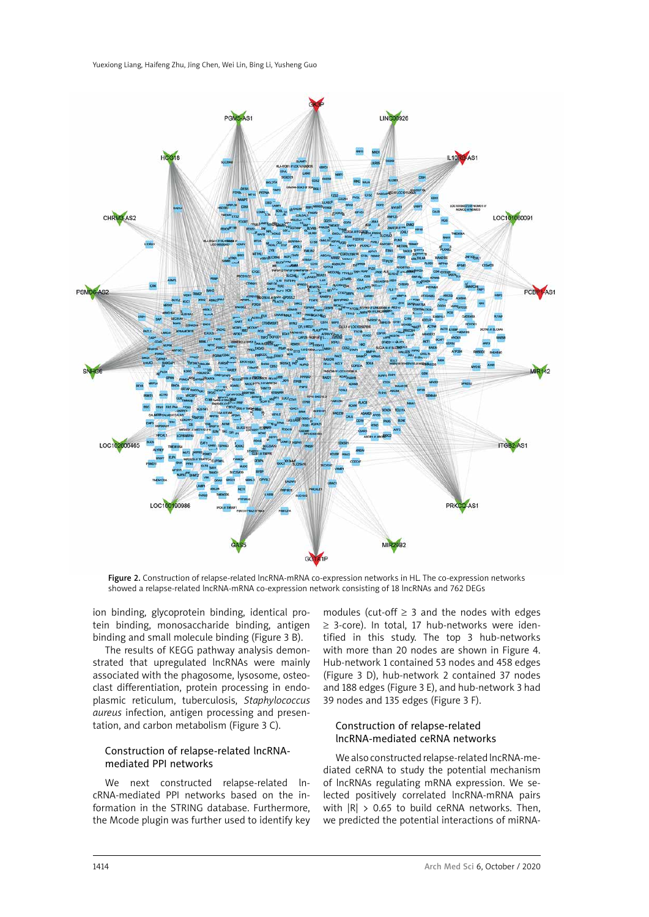

Figure 2. Construction of relapse-related lncRNA-mRNA co-expression networks in HL. The co-expression networks showed a relapse-related lncRNA-mRNA co-expression network consisting of 18 lncRNAs and 762 DEGs

ion binding, glycoprotein binding, identical protein binding, monosaccharide binding, antigen binding and small molecule binding (Figure 3 B).

The results of KEGG pathway analysis demonstrated that upregulated lncRNAs were mainly associated with the phagosome, lysosome, osteoclast differentiation, protein processing in endoplasmic reticulum, tuberculosis, *Staphylococcus aureus* infection, antigen processing and presentation, and carbon metabolism (Figure 3 C).

## Construction of relapse-related lncRNAmediated PPI networks

We next constructed relapse-related IncRNA-mediated PPI networks based on the information in the STRING database. Furthermore, the Mcode plugin was further used to identify key

modules (cut-off  $\geq$  3 and the nodes with edges ≥ 3-core). In total, 17 hub-networks were identified in this study. The top 3 hub-networks with more than 20 nodes are shown in Figure 4. Hub-network 1 contained 53 nodes and 458 edges (Figure 3 D), hub-network 2 contained 37 nodes and 188 edges (Figure 3 E), and hub-network 3 had 39 nodes and 135 edges (Figure 3 F).

## Construction of relapse-related lncRNA-mediated ceRNA networks

We also constructed relapse-related lncRNA-mediated ceRNA to study the potential mechanism of lncRNAs regulating mRNA expression. We selected positively correlated lncRNA-mRNA pairs with  $|R| > 0.65$  to build ceRNA networks. Then, we predicted the potential interactions of miRNA-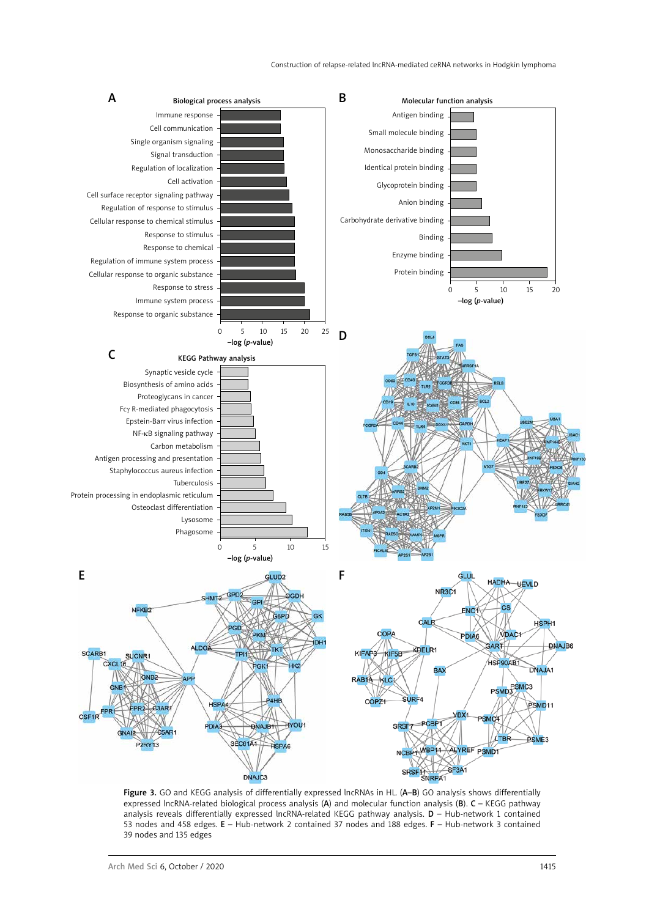

Figure 3. GO and KEGG analysis of differentially expressed lncRNAs in HL. (A-B) GO analysis shows differentially expressed lncRNA-related biological process analysis (A) and molecular function analysis (B). C – KEGG pathway analysis reveals differentially expressed lncRNA-related KEGG pathway analysis. D – Hub-network 1 contained 53 nodes and 458 edges. E – Hub-network 2 contained 37 nodes and 188 edges. F – Hub-network 3 contained 39 nodes and 135 edges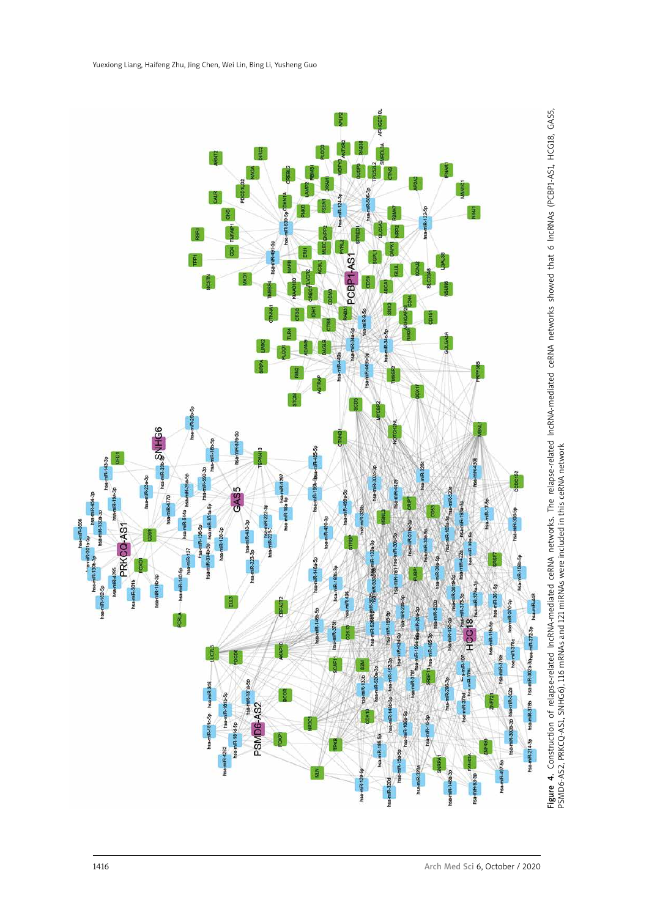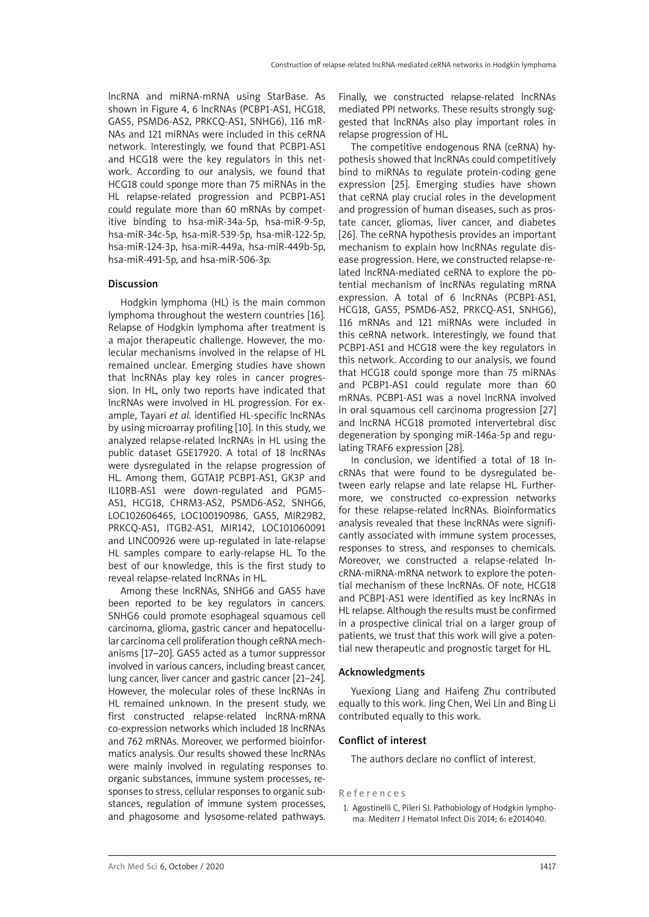lncRNA and miRNA-mRNA using StarBase. As shown in Figure 4, 6 lncRNAs (PCBP1-AS1, HCG18, GAS5, PSMD6-AS2, PRKCQ-AS1, SNHG6), 116 mR-NAs and 121 miRNAs were included in this ceRNA network. Interestingly, we found that PCBP1-AS1 and HCG18 were the key regulators in this network. According to our analysis, we found that HCG18 could sponge more than 75 miRNAs in the HL relapse-related progression and PCBP1-AS1 could regulate more than 60 mRNAs by competitive binding to hsa-miR-34a-5p, hsa-miR-9-5p, hsa-miR-34c-5p, hsa-miR-539-5p, hsa-miR-122-5p, hsa-miR-124-3p, hsa-miR-449a, hsa-miR-449b-5p, hsa-miR-491-5p, and hsa-miR-506-3p.

## Discussion

Hodgkin lymphoma (HL) is the main common lymphoma throughout the western countries [16]. Relapse of Hodgkin lymphoma after treatment is a major therapeutic challenge. However, the molecular mechanisms involved in the relapse of HL remained unclear. Emerging studies have shown that lncRNAs play key roles in cancer progression. In HL, only two reports have indicated that lncRNAs were involved in HL progression. For example, Tayari *et al.* identified HL-specific lncRNAs by using microarray profiling [10]. In this study, we analyzed relapse-related lncRNAs in HL using the public dataset GSE17920. A total of 18 lncRNAs were dysregulated in the relapse progression of HL. Among them, GGTA1P, PCBP1-AS1, GK3P and IL10RB-AS1 were down-regulated and PGM5- AS1, HCG18, CHRM3-AS2, PSMD6-AS2, SNHG6, LOC102606465, LOC100190986, GAS5, MIR29B2, PRKCQ-AS1, ITGB2-AS1, MIR142, LOC101060091 and LINC00926 were up-regulated in late-relapse HL samples compare to early-relapse HL. To the best of our knowledge, this is the first study to reveal relapse-related lncRNAs in HL.

Among these lncRNAs, SNHG6 and GAS5 have been reported to be key regulators in cancers. SNHG6 could promote esophageal squamous cell carcinoma, glioma, gastric cancer and hepatocellular carcinoma cell proliferation though ceRNA mechanisms [17–20]. GAS5 acted as a tumor suppressor involved in various cancers, including breast cancer, lung cancer, liver cancer and gastric cancer [21–24]. However, the molecular roles of these lncRNAs in HL remained unknown. In the present study, we first constructed relapse-related lncRNA-mRNA co-expression networks which included 18 lncRNAs and 762 mRNAs. Moreover, we performed bioinformatics analysis. Our results showed these lncRNAs were mainly involved in regulating responses to organic substances, immune system processes, responses to stress, cellular responses to organic substances, regulation of immune system processes, and phagosome and lysosome-related pathways. Finally, we constructed relapse-related lncRNAs mediated PPI networks. These results strongly suggested that lncRNAs also play important roles in relapse progression of HL.

The competitive endogenous RNA (ceRNA) hypothesis showed that lncRNAs could competitively bind to miRNAs to regulate protein-coding gene expression [25]. Emerging studies have shown that ceRNA play crucial roles in the development and progression of human diseases, such as prostate cancer, gliomas, liver cancer, and diabetes [26]. The ceRNA hypothesis provides an important mechanism to explain how lncRNAs regulate disease progression. Here, we constructed relapse-related lncRNA-mediated ceRNA to explore the potential mechanism of lncRNAs regulating mRNA expression. A total of 6 lncRNAs (PCBP1-AS1, HCG18, GAS5, PSMD6-AS2, PRKCQ-AS1, SNHG6), 116 mRNAs and 121 miRNAs were included in this ceRNA network. Interestingly, we found that PCBP1-AS1 and HCG18 were the key regulators in this network. According to our analysis, we found that HCG18 could sponge more than 75 miRNAs and PCBP1-AS1 could regulate more than 60 mRNAs. PCBP1-AS1 was a novel lncRNA involved in oral squamous cell carcinoma progression [27] and lncRNA HCG18 promoted intervertebral disc degeneration by sponging miR-146a-5p and regulating TRAF6 expression [28].

In conclusion, we identified a total of 18 lncRNAs that were found to be dysregulated between early relapse and late relapse HL. Furthermore, we constructed co-expression networks for these relapse-related lncRNAs. Bioinformatics analysis revealed that these lncRNAs were significantly associated with immune system processes, responses to stress, and responses to chemicals. Moreover, we constructed a relapse-related lncRNA-miRNA-mRNA network to explore the potential mechanism of these lncRNAs. OF note, HCG18 and PCBP1-AS1 were identified as key lncRNAs in HL relapse. Although the results must be confirmed in a prospective clinical trial on a larger group of patients, we trust that this work will give a potential new therapeutic and prognostic target for HL.

## Acknowledgments

Yuexiong Liang and Haifeng Zhu contributed equally to this work. Jing Chen, Wei Lin and Bing Li contributed equally to this work.

#### Conflict of interest

The authors declare no conflict of interest.

# References

1. Agostinelli C, Pileri SJ. Pathobiology of Hodgkin lymphoma. Mediterr J Hematol Infect Dis 2014; 6: e2014040.